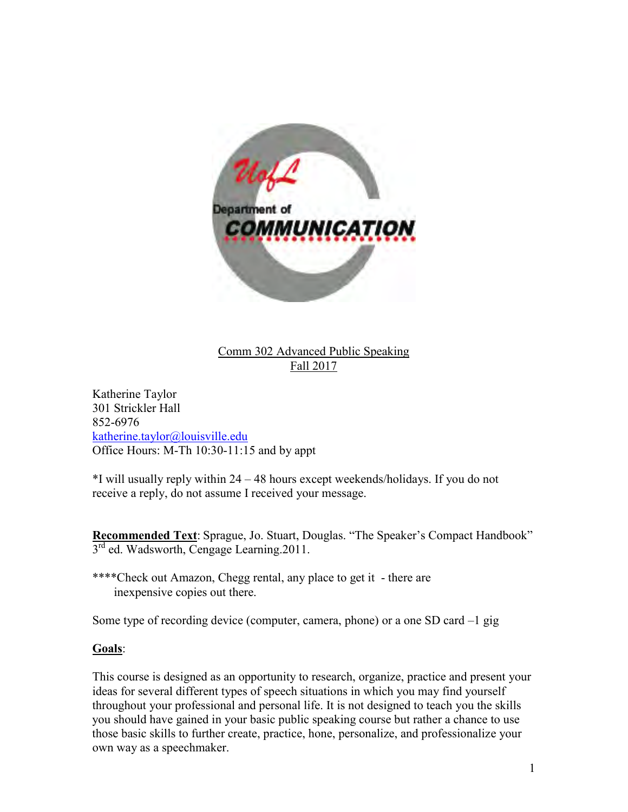

Comm 302 Advanced Public Speaking Fall 2017

Katherine Taylor 301 Strickler Hall 852-6976 [katherine.taylor@louisville.edu](mailto:katherine.taylor@louisville.edu) Office Hours: M-Th 10:30-11:15 and by appt

\*I will usually reply within 24 – 48 hours except weekends/holidays. If you do not receive a reply, do not assume I received your message.

**Recommended Text**: Sprague, Jo. Stuart, Douglas. "The Speaker's Compact Handbook" 3<sup>rd</sup> ed. Wadsworth, Cengage Learning.2011.

\*\*\*\*Check out Amazon, Chegg rental, any place to get it - there are inexpensive copies out there.

Some type of recording device (computer, camera, phone) or a one SD card –1 gig

#### **Goals**:

This course is designed as an opportunity to research, organize, practice and present your ideas for several different types of speech situations in which you may find yourself throughout your professional and personal life. It is not designed to teach you the skills you should have gained in your basic public speaking course but rather a chance to use those basic skills to further create, practice, hone, personalize, and professionalize your own way as a speechmaker.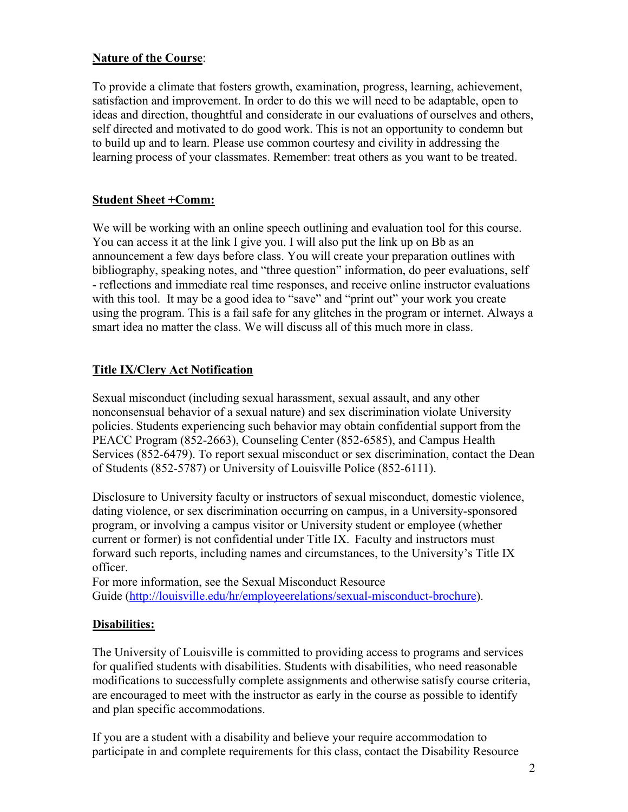#### **Nature of the Course**:

To provide a climate that fosters growth, examination, progress, learning, achievement, satisfaction and improvement. In order to do this we will need to be adaptable, open to ideas and direction, thoughtful and considerate in our evaluations of ourselves and others, self directed and motivated to do good work. This is not an opportunity to condemn but to build up and to learn. Please use common courtesy and civility in addressing the learning process of your classmates. Remember: treat others as you want to be treated.

#### **Student Sheet +Comm:**

We will be working with an online speech outlining and evaluation tool for this course. You can access it at the link I give you. I will also put the link up on Bb as an announcement a few days before class. You will create your preparation outlines with bibliography, speaking notes, and "three question" information, do peer evaluations, self - reflections and immediate real time responses, and receive online instructor evaluations with this tool. It may be a good idea to "save" and "print out" your work you create using the program. This is a fail safe for any glitches in the program or internet. Always a smart idea no matter the class. We will discuss all of this much more in class.

# **Title IX/Clery Act Notification**

Sexual misconduct (including sexual harassment, sexual assault, and any other nonconsensual behavior of a sexual nature) and sex discrimination violate University policies. Students experiencing such behavior may obtain confidential support from the PEACC Program (852-2663), Counseling Center (852-6585), and Campus Health Services (852-6479). To report sexual misconduct or sex discrimination, contact the Dean of Students (852-5787) or University of Louisville Police (852-6111). 

Disclosure to University faculty or instructors of sexual misconduct, domestic violence, dating violence, or sex discrimination occurring on campus, in a University-sponsored program, or involving a campus visitor or University student or employee (whether current or former) is not confidential under Title IX.  Faculty and instructors must forward such reports, including names and circumstances, to the University's Title IX officer. 

For more information, see the Sexual Misconduct Resource Guide [\(http://louisville.edu/hr/employeerelations/sexual-misconduct-brochure\)](http://louisville.edu/hr/employeerelations/sexual-misconduct-brochure).

#### **Disabilities:**

The University of Louisville is committed to providing access to programs and services for qualified students with disabilities. Students with disabilities, who need reasonable modifications to successfully complete assignments and otherwise satisfy course criteria, are encouraged to meet with the instructor as early in the course as possible to identify and plan specific accommodations.

If you are a student with a disability and believe your require accommodation to participate in and complete requirements for this class, contact the Disability Resource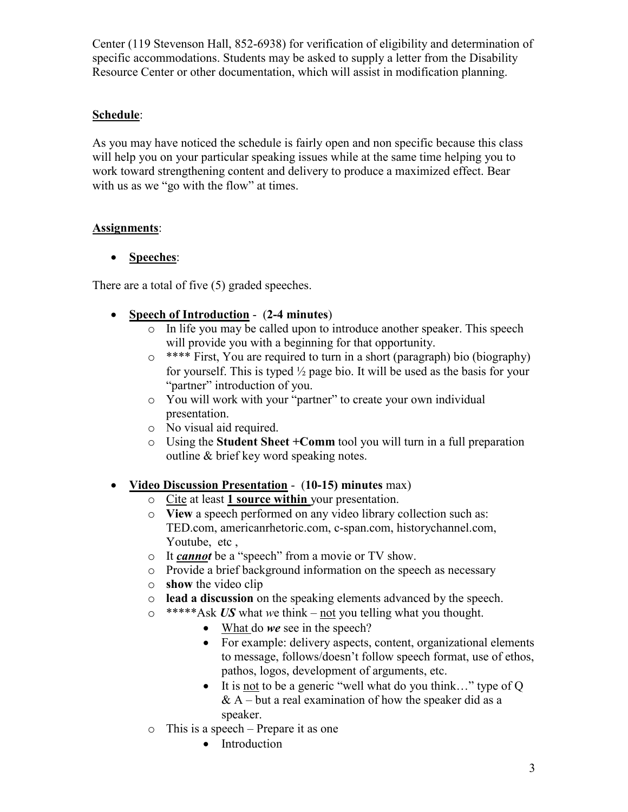Center (119 Stevenson Hall, 852-6938) for verification of eligibility and determination of specific accommodations. Students may be asked to supply a letter from the Disability Resource Center or other documentation, which will assist in modification planning.

#### **Schedule**:

As you may have noticed the schedule is fairly open and non specific because this class will help you on your particular speaking issues while at the same time helping you to work toward strengthening content and delivery to produce a maximized effect. Bear with us as we "go with the flow" at times.

#### **Assignments**:

# **Speeches**:

There are a total of five (5) graded speeches.

- **Speech of Introduction** (**2-4 minutes**)
	- o In life you may be called upon to introduce another speaker. This speech will provide you with a beginning for that opportunity.
	- o \*\*\*\* First, You are required to turn in a short (paragraph) bio (biography) for yourself. This is typed ½ page bio. It will be used as the basis for your "partner" introduction of you.
	- o You will work with your "partner" to create your own individual presentation.
	- o No visual aid required.
	- o Using the **Student Sheet +Comm** tool you will turn in a full preparation outline & brief key word speaking notes.

# **Video Discussion Presentation** - (**10-15) minutes** max)

- o Cite at least **1 source within** your presentation.
- o **View** a speech performed on any video library collection such as: TED.com, americanrhetoric.com, c-span.com, historychannel.com, Youtube, etc,
- o It *cannot* be a "speech" from a movie or TV show.
- o Provide a brief background information on the speech as necessary
- o **show** the video clip
- o **lead a discussion** on the speaking elements advanced by the speech.
- o \*\*\*\*\*Ask *US* what *w*e think not you telling what you thought.
	- What do *we* see in the speech?
	- For example: delivery aspects, content, organizational elements to message, follows/doesn't follow speech format, use of ethos, pathos, logos, development of arguments, etc.
	- It is not to be a generic "well what do you think…" type of Q  $& A$  – but a real examination of how the speaker did as a speaker.
- o This is a speech Prepare it as one
	- Introduction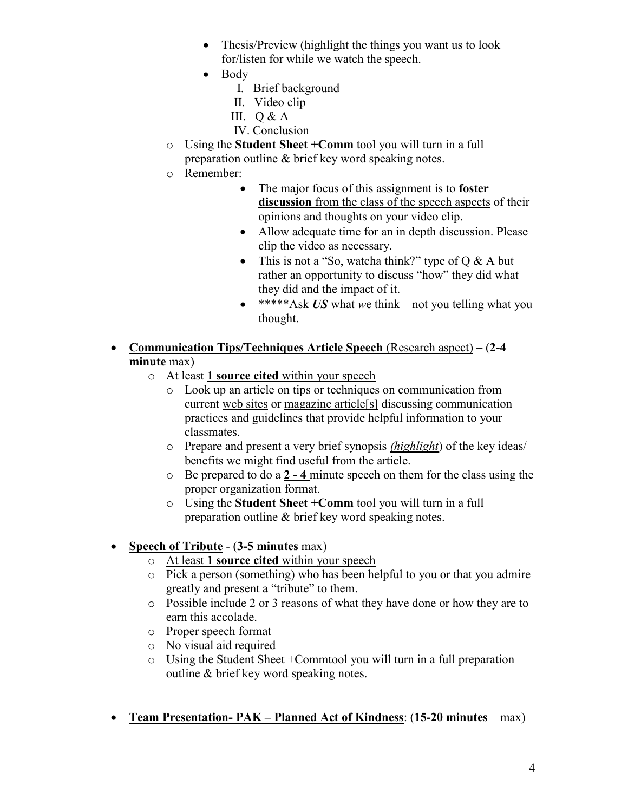- Thesis/Preview (highlight the things you want us to look for/listen for while we watch the speech.
- Body
	- I. Brief background
	- II. Video clip
	- III.  $Q & A$
	- IV. Conclusion
- o Using the **Student Sheet +Comm** tool you will turn in a full preparation outline & brief key word speaking notes.
- o Remember:
	- The major focus of this assignment is to **foster**  discussion from the class of the speech aspects of their opinions and thoughts on your video clip.
	- Allow adequate time for an in depth discussion. Please clip the video as necessary.
	- This is not a "So, watcha think?" type of  $\overline{O} \& A$  but rather an opportunity to discuss "how" they did what they did and the impact of it.
	- \*\*\*\*\*Ask *US* what we think not you telling what you thought.
- **Communication Tips/Techniques Article Speech** (Research aspect) **–** (**2-4 minute** max)
	- o At least **1 source cited** within your speech
		- o Look up an article on tips or techniques on communication from current web sites or magazine article[s] discussing communication practices and guidelines that provide helpful information to your classmates.
		- o Prepare and present a very brief synopsis *(highlight*) of the key ideas/ benefits we might find useful from the article.
		- o Be prepared to do a **2 4** minute speech on them for the class using the proper organization format.
		- o Using the **Student Sheet +Comm** tool you will turn in a full preparation outline & brief key word speaking notes.

# **Speech of Tribute** - (**3-5 minutes** max)

- o At least **1 source cited** within your speech
- o Pick a person (something) who has been helpful to you or that you admire greatly and present a "tribute" to them.
- o Possible include 2 or 3 reasons of what they have done or how they are to earn this accolade.
- o Proper speech format
- o No visual aid required
- o Using the Student Sheet +Commtool you will turn in a full preparation outline & brief key word speaking notes.
- **Team Presentation- PAK – Planned Act of Kindness**: (**15-20 minutes** max)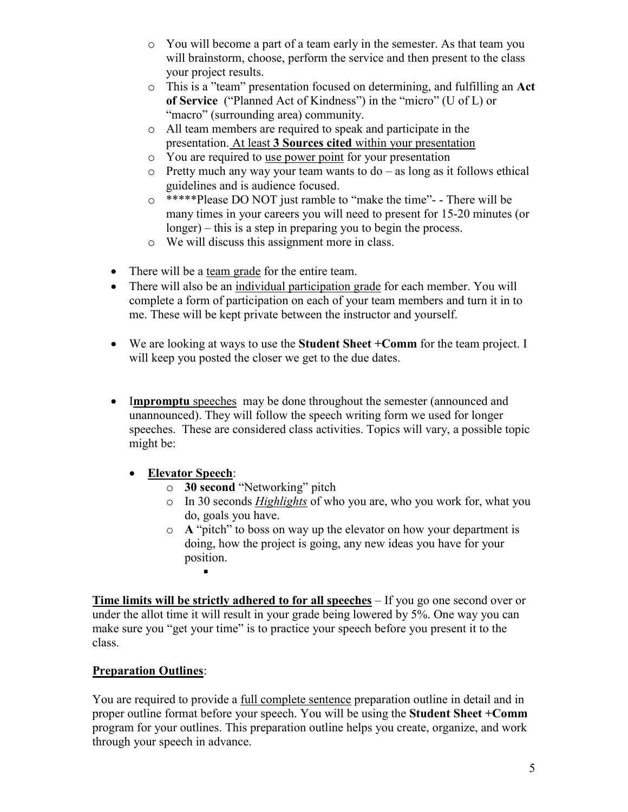- o You will become a part of a team early in the semester. As that team you will brainstorm, choose, perform the service and then present to the class your project results.
- o This is a "team" presentation focused on determining, and fulfilling an **Act of Service** ("Planned Act of Kindness") in the "micro" (U of L) or "macro" (surrounding area) community.
- o All team members are required to speak and participate in the presentation. At least **3 Sources cited** within your presentation
- o You are required to use power point for your presentation
- $\circ$  Pretty much any way your team wants to do as long as it follows ethical guidelines and is audience focused.
- o \*\*\*\*\*Please DO NOT just ramble to "make the time"- There will be many times in your careers you will need to present for 15-20 minutes (or longer) – this is a step in preparing you to begin the process.
- o We will discuss this assignment more in class.
- There will be a team grade for the entire team.
- There will also be an individual participation grade for each member. You will complete a form of participation on each of your team members and turn it in to me. These will be kept private between the instructor and yourself.
- We are looking at ways to use the **Student Sheet +Comm** for the team project. I will keep you posted the closer we get to the due dates.
- Impromptu speeches may be done throughout the semester (announced and unannounced). They will follow the speech writing form we used for longer speeches. These are considered class activities. Topics will vary, a possible topic might be:
	- **Elevator Speech**:
		- o **30 second** "Networking" pitch
		- o In 30 seconds *Highlights* of who you are, who you work for, what you do, goals you have.
		- o **A** "pitch" to boss on way up the elevator on how your department is doing, how the project is going, any new ideas you have for your position. .

**Time limits will be strictly adhered to for all speeches** – If you go one second over or under the allot time it will result in your grade being lowered by 5%. One way you can make sure you "get your time" is to practice your speech before you present it to the class.

# **Preparation Outlines**:

You are required to provide a full complete sentence preparation outline in detail and in proper outline format before your speech. You will be using the **Student Sheet +Comm** program for your outlines. This preparation outline helps you create, organize, and work through your speech in advance.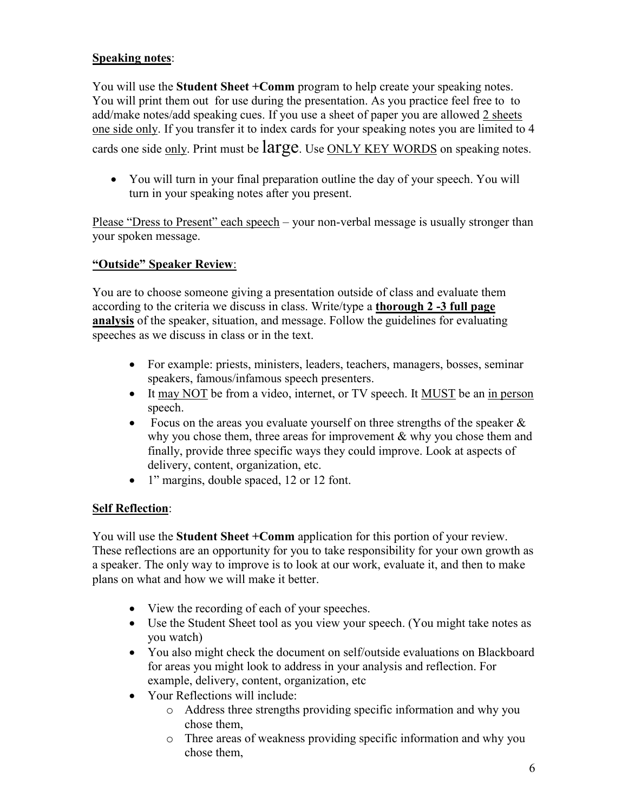#### **Speaking notes**:

You will use the **Student Sheet +Comm** program to help create your speaking notes. You will print them out for use during the presentation. As you practice feel free to to add/make notes/add speaking cues. If you use a sheet of paper you are allowed 2 sheets one side only. If you transfer it to index cards for your speaking notes you are limited to 4 cards one side only. Print must be **large**. Use <u>ONLY KEY WORDS</u> on speaking notes.

 You will turn in your final preparation outline the day of your speech. You will turn in your speaking notes after you present.

Please "Dress to Present" each speech – your non-verbal message is usually stronger than your spoken message.

#### **"Outside" Speaker Review**:

You are to choose someone giving a presentation outside of class and evaluate them according to the criteria we discuss in class. Write/type a **thorough 2 -3 full page analysis** of the speaker, situation, and message. Follow the guidelines for evaluating speeches as we discuss in class or in the text.

- For example: priests, ministers, leaders, teachers, managers, bosses, seminar speakers, famous/infamous speech presenters.
- It may NOT be from a video, internet, or TV speech. It MUST be an in person speech.
- Focus on the areas you evaluate yourself on three strengths of the speaker  $\&$ why you chose them, three areas for improvement  $\&$  why you chose them and finally, provide three specific ways they could improve. Look at aspects of delivery, content, organization, etc.
- 1" margins, double spaced, 12 or 12 font.

# **Self Reflection**:

You will use the **Student Sheet +Comm** application for this portion of your review. These reflections are an opportunity for you to take responsibility for your own growth as a speaker. The only way to improve is to look at our work, evaluate it, and then to make plans on what and how we will make it better.

- View the recording of each of your speeches.
- Use the Student Sheet tool as you view your speech. (You might take notes as you watch)
- You also might check the document on self/outside evaluations on Blackboard for areas you might look to address in your analysis and reflection. For example, delivery, content, organization, etc
- Your Reflections will include:
	- o Address three strengths providing specific information and why you chose them,
	- o Three areas of weakness providing specific information and why you chose them,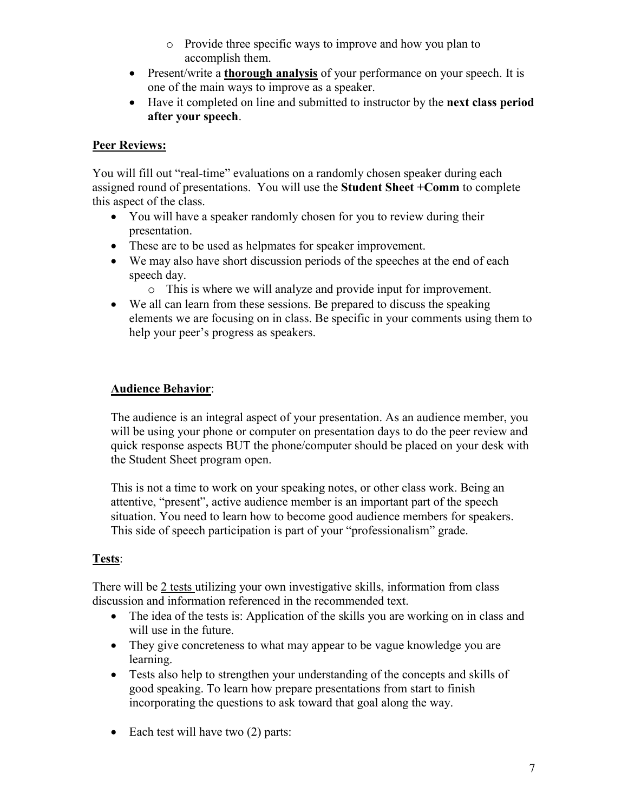- o Provide three specific ways to improve and how you plan to accomplish them.
- Present/write a **thorough analysis** of your performance on your speech. It is one of the main ways to improve as a speaker.
- Have it completed on line and submitted to instructor by the **next class period after your speech**.

# **Peer Reviews:**

You will fill out "real-time" evaluations on a randomly chosen speaker during each assigned round of presentations. You will use the **Student Sheet +Comm** to complete this aspect of the class.

- You will have a speaker randomly chosen for you to review during their presentation.
- These are to be used as helpmates for speaker improvement.
- We may also have short discussion periods of the speeches at the end of each speech day.
	- o This is where we will analyze and provide input for improvement.
- We all can learn from these sessions. Be prepared to discuss the speaking elements we are focusing on in class. Be specific in your comments using them to help your peer's progress as speakers.

# **Audience Behavior**:

The audience is an integral aspect of your presentation. As an audience member, you will be using your phone or computer on presentation days to do the peer review and quick response aspects BUT the phone/computer should be placed on your desk with the Student Sheet program open.

This is not a time to work on your speaking notes, or other class work. Being an attentive, "present", active audience member is an important part of the speech situation. You need to learn how to become good audience members for speakers. This side of speech participation is part of your "professionalism" grade.

# **Tests**:

There will be 2 tests utilizing your own investigative skills, information from class discussion and information referenced in the recommended text.

- The idea of the tests is: Application of the skills you are working on in class and will use in the future.
- They give concreteness to what may appear to be vague knowledge you are learning.
- Tests also help to strengthen your understanding of the concepts and skills of good speaking. To learn how prepare presentations from start to finish incorporating the questions to ask toward that goal along the way.
- $\bullet$  Each test will have two (2) parts: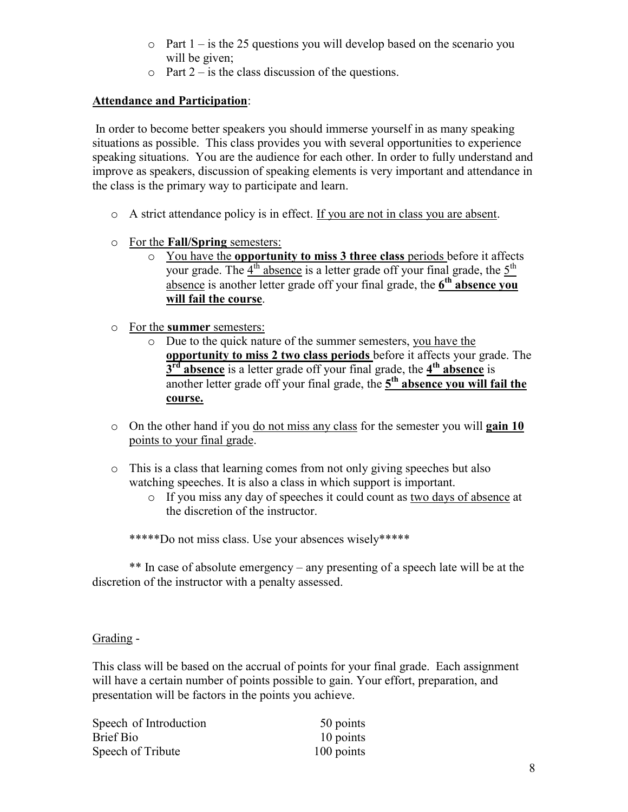- $\circ$  Part 1 is the 25 questions you will develop based on the scenario you will be given:
- $\circ$  Part 2 is the class discussion of the questions.

# **Attendance and Participation**:

 In order to become better speakers you should immerse yourself in as many speaking situations as possible. This class provides you with several opportunities to experience speaking situations. You are the audience for each other. In order to fully understand and improve as speakers, discussion of speaking elements is very important and attendance in the class is the primary way to participate and learn.

- o A strict attendance policy is in effect. If you are not in class you are absent.
- o For the **Fall/Spring** semesters:
	- o You have the **opportunity to miss 3 three class** periods before it affects your grade. The  $4<sup>th</sup>$  absence is a letter grade off your final grade, the  $5<sup>th</sup>$ absence is another letter grade off your final grade, the  $6^{\text{th}}$  **absence you will fail the course**.
- o For the **summer** semesters:
	- o Due to the quick nature of the summer semesters, you have the **opportunity to miss 2 two class periods** before it affects your grade. The **3<sup>rd</sup> absence** is a letter grade off your final grade, the 4<sup>th</sup> absence is another letter grade off your final grade, the  $5<sup>th</sup>$  absence you will fail the **course.**
- o On the other hand if you do not miss any class for the semester you will **gain 10** points to your final grade.
- o This is a class that learning comes from not only giving speeches but also watching speeches. It is also a class in which support is important.
	- o If you miss any day of speeches it could count as two days of absence at the discretion of the instructor.

\*\*\*\*\*Do not miss class. Use your absences wisely\*\*\*\*\*

\*\* In case of absolute emergency – any presenting of a speech late will be at the discretion of the instructor with a penalty assessed.

# Grading -

This class will be based on the accrual of points for your final grade. Each assignment will have a certain number of points possible to gain. Your effort, preparation, and presentation will be factors in the points you achieve.

| Speech of Introduction | 50 points  |
|------------------------|------------|
| Brief Bio              | 10 points  |
| Speech of Tribute      | 100 points |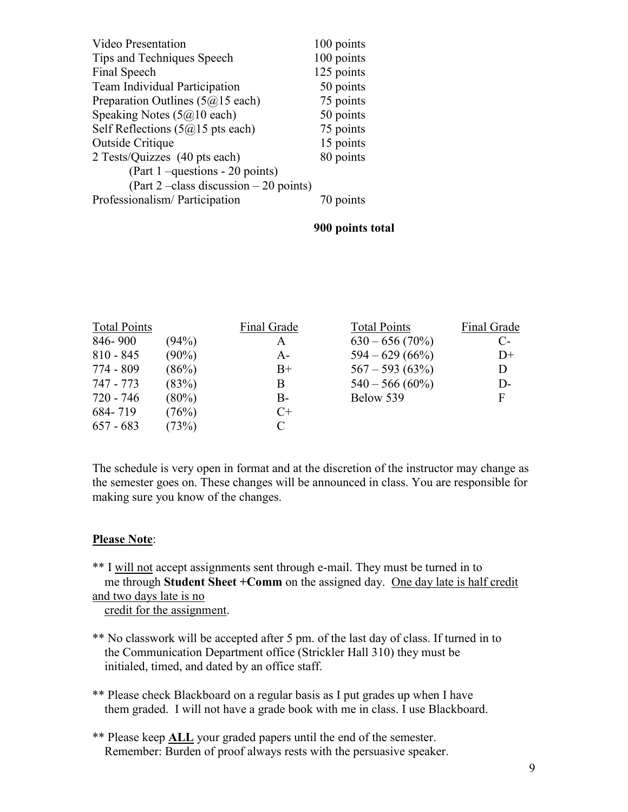| <b>Video Presentation</b>              | 100 points |
|----------------------------------------|------------|
| Tips and Techniques Speech             | 100 points |
| Final Speech                           | 125 points |
| <b>Team Individual Participation</b>   | 50 points  |
| Preparation Outlines $(5@15$ each)     | 75 points  |
| Speaking Notes $(5@)10$ each)          | 50 points  |
| Self Reflections $(5@)15$ pts each)    | 75 points  |
| <b>Outside Critique</b>                | 15 points  |
| 2 Tests/Quizzes (40 pts each)          | 80 points  |
| (Part 1 –questions - 20 points)        |            |
| (Part 2 –class discussion – 20 points) |            |
| Professionalism/Participation          | 70 points  |

#### **900 points total**

| <b>Total Points</b> |          | Final Grade | <b>Total Points</b> | Final Grade |
|---------------------|----------|-------------|---------------------|-------------|
| 846-900             | (94%)    | A           | $630 - 656(70\%)$   | $C-$        |
| $810 - 845$         | $(90\%)$ | $A -$       | $594 - 629(66%)$    | $D+$        |
| 774 - 809           | (86%)    | $B+$        | $567 - 593(63%)$    | D           |
| 747 - 773           | (83%)    | B           | $540 - 566(60\%)$   | $D-$        |
| 720 - 746           | $(80\%)$ | $B -$       | Below 539           | F           |
| 684-719             | (76%)    | $C+$        |                     |             |
| $657 - 683$         | (73%)    |             |                     |             |

The schedule is very open in format and at the discretion of the instructor may change as the semester goes on. These changes will be announced in class. You are responsible for making sure you know of the changes.

#### **Please Note**:

\*\* I will not accept assignments sent through e-mail. They must be turned in to me through **Student Sheet +Comm** on the assigned day. One day late is half credit and two days late is no

credit for the assignment.

- \*\* No classwork will be accepted after 5 pm. of the last day of class. If turned in to the Communication Department office (Strickler Hall 310) they must be initialed, timed, and dated by an office staff.
- \*\* Please check Blackboard on a regular basis as I put grades up when I have them graded. I will not have a grade book with me in class. I use Blackboard.
- \*\* Please keep **ALL** your graded papers until the end of the semester. Remember: Burden of proof always rests with the persuasive speaker.